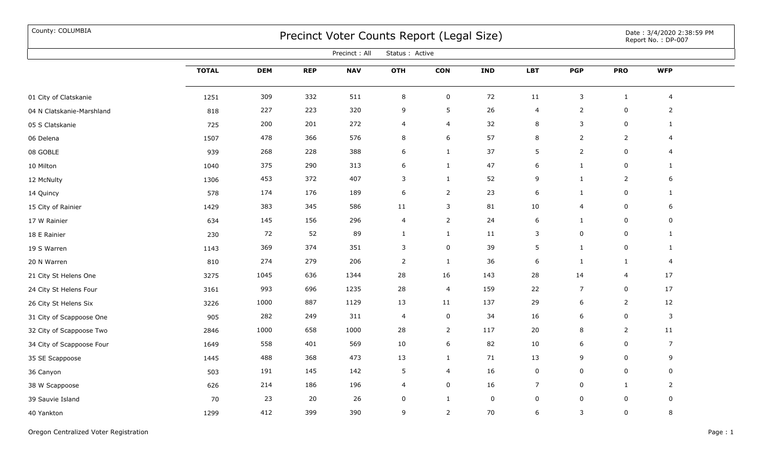## County: COLUMBIA Date : 3/4/2020 2:38:59 PM

|                           | Precinct: All<br>Status: Active |            |            |            |                         |                |             |                  |                |                     |                  |  |
|---------------------------|---------------------------------|------------|------------|------------|-------------------------|----------------|-------------|------------------|----------------|---------------------|------------------|--|
|                           | <b>TOTAL</b>                    | <b>DEM</b> | <b>REP</b> | <b>NAV</b> | <b>OTH</b>              | <b>CON</b>     | <b>IND</b>  | <b>LBT</b>       | <b>PGP</b>     | <b>PRO</b>          | <b>WFP</b>       |  |
| 01 City of Clatskanie     | 1251                            | 309        | 332        | 511        | $\,8\,$                 | $\pmb{0}$      | 72          | $11$             | $\mathsf{3}$   | $\mathbf{1}$        | $\overline{4}$   |  |
| 04 N Clatskanie-Marshland | 818                             | 227        | 223        | 320        | 9                       | 5              | 26          | 4                | $\overline{2}$ | $\mathbf 0$         | $\overline{2}$   |  |
| 05 S Clatskanie           | 725                             | 200        | 201        | 272        | $\overline{\mathbf{4}}$ | $\overline{4}$ | 32          | 8                | $\mathsf{3}$   | $\mathbf 0$         | $\mathbf{1}$     |  |
| 06 Delena                 | 1507                            | 478        | 366        | 576        | $\,8\,$                 | 6              | 57          | 8                | $\overline{2}$ | $\overline{2}$      | $\overline{4}$   |  |
| 08 GOBLE                  | 939                             | 268        | 228        | 388        | 6                       | $\mathbf{1}$   | 37          | 5                | $\overline{2}$ | $\mathsf{O}$        | $\overline{4}$   |  |
| 10 Milton                 | 1040                            | 375        | 290        | 313        | 6                       | $\mathbf{1}$   | 47          | 6                | $\mathbf{1}$   | $\mathsf{O}$        | $\mathbf{1}$     |  |
| 12 McNulty                | 1306                            | 453        | 372        | 407        | 3                       | $\mathbf{1}$   | 52          | 9                | $\mathbf{1}$   | $\overline{2}$      | 6                |  |
| 14 Quincy                 | 578                             | 174        | 176        | 189        | $\,$ 6 $\,$             | $\overline{2}$ | 23          | $\boldsymbol{6}$ | $\mathbf{1}$   | $\mathbf 0$         | $\mathbf{1}$     |  |
| 15 City of Rainier        | 1429                            | 383        | 345        | 586        | 11                      | 3              | 81          | $10\,$           | 4              | $\mathsf{O}\xspace$ | 6                |  |
| 17 W Rainier              | 634                             | 145        | 156        | 296        | 4                       | $\overline{2}$ | 24          | 6                | $\mathbf{1}$   | $\mathbf 0$         | $\boldsymbol{0}$ |  |
| 18 E Rainier              | 230                             | 72         | 52         | 89         | $\mathbf{1}$            | $\mathbf{1}$   | 11          | 3                | 0              | 0                   | $\mathbf{1}$     |  |
| 19 S Warren               | 1143                            | 369        | 374        | 351        | 3                       | $\mathbf 0$    | 39          | 5                | $\mathbf{1}$   | $\mathbf 0$         | $\mathbf{1}$     |  |
| 20 N Warren               | 810                             | 274        | 279        | 206        | $\overline{2}$          | $\mathbf{1}$   | 36          | 6                | $\mathbf{1}$   | $\mathbf{1}$        | 4                |  |
| 21 City St Helens One     | 3275                            | 1045       | 636        | 1344       | 28                      | 16             | 143         | 28               | 14             | $\overline{4}$      | 17               |  |
| 24 City St Helens Four    | 3161                            | 993        | 696        | 1235       | 28                      | $\overline{4}$ | 159         | 22               | $\overline{7}$ | $\mathsf{O}$        | 17               |  |
| 26 City St Helens Six     | 3226                            | 1000       | 887        | 1129       | 13                      | 11             | 137         | 29               | 6              | $\overline{2}$      | 12               |  |
| 31 City of Scappoose One  | 905                             | 282        | 249        | 311        | 4                       | $\mathbf 0$    | 34          | 16               | 6              | $\mathsf{O}$        | 3                |  |
| 32 City of Scappoose Two  | 2846                            | 1000       | 658        | 1000       | 28                      | $\overline{2}$ | 117         | 20               | 8              | $\overline{2}$      | 11               |  |
| 34 City of Scappoose Four | 1649                            | 558        | 401        | 569        | 10                      | 6              | 82          | 10               | 6              | 0                   | $\overline{7}$   |  |
| 35 SE Scappoose           | 1445                            | 488        | 368        | 473        | 13                      | $\mathbf{1}$   | 71          | 13               | 9              | 0                   | 9                |  |
| 36 Canyon                 | 503                             | 191        | 145        | 142        | 5                       | 4              | 16          | 0                | 0              | 0                   | $\mathbf 0$      |  |
| 38 W Scappoose            | 626                             | 214        | 186        | 196        | 4                       | $\mathsf 0$    | 16          | $\overline{7}$   | $\mathbf 0$    | $\mathbf{1}$        | $\overline{2}$   |  |
| 39 Sauvie Island          | 70                              | 23         | 20         | 26         | 0                       | $\mathbf{1}$   | $\mathbf 0$ | 0                | 0              | $\mathsf 0$         | 0                |  |
| 40 Yankton                | 1299                            | 412        | 399        | 390        | 9                       | $\overline{2}$ | 70          | 6                | 3              | $\mathbf 0$         | 8                |  |